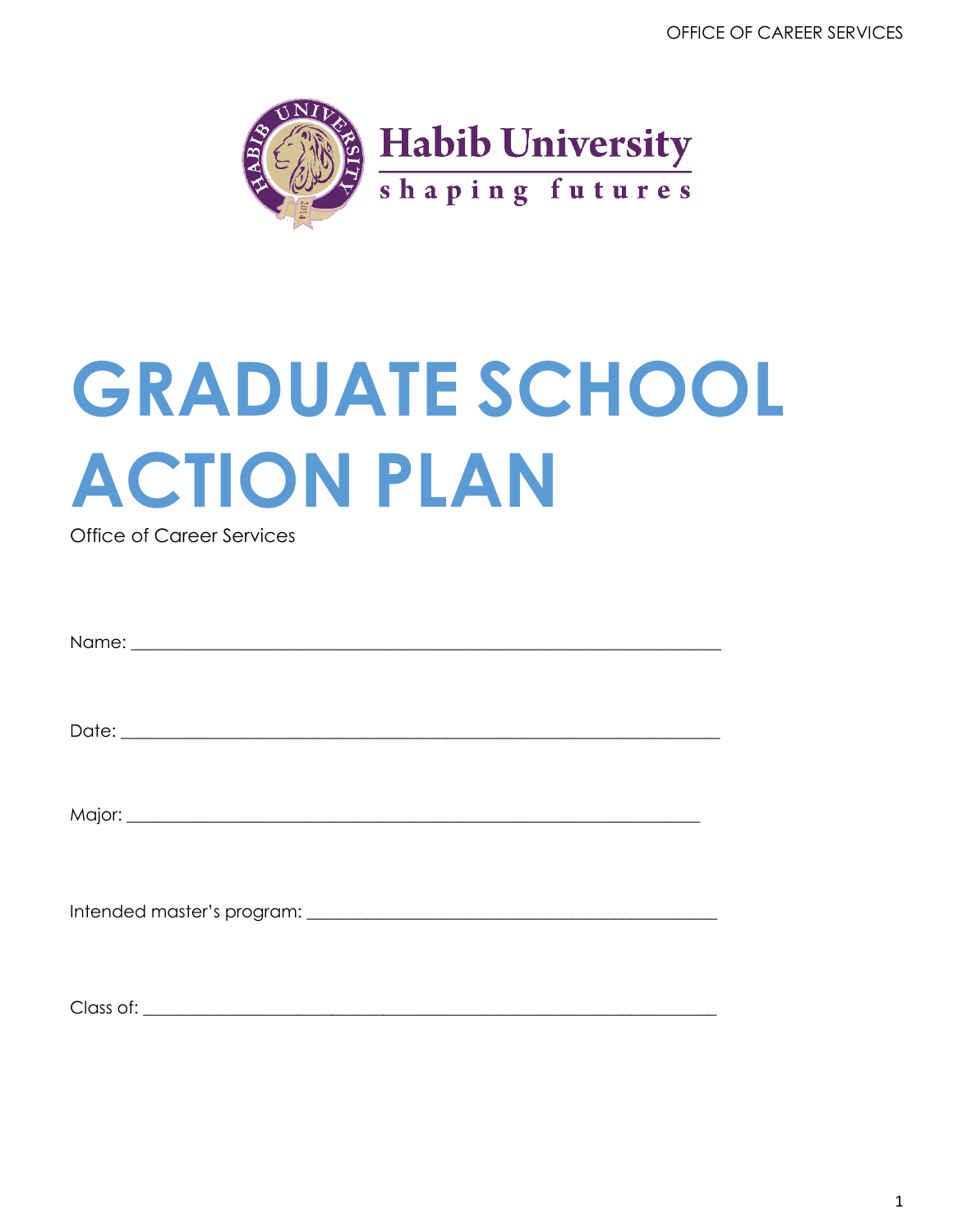OFFICE OF CAREER SERVICES



# **GRADUATE SCHOOL ACTION PLAN**

**Office of Career Services** 

| $Clnccof1$ |
|------------|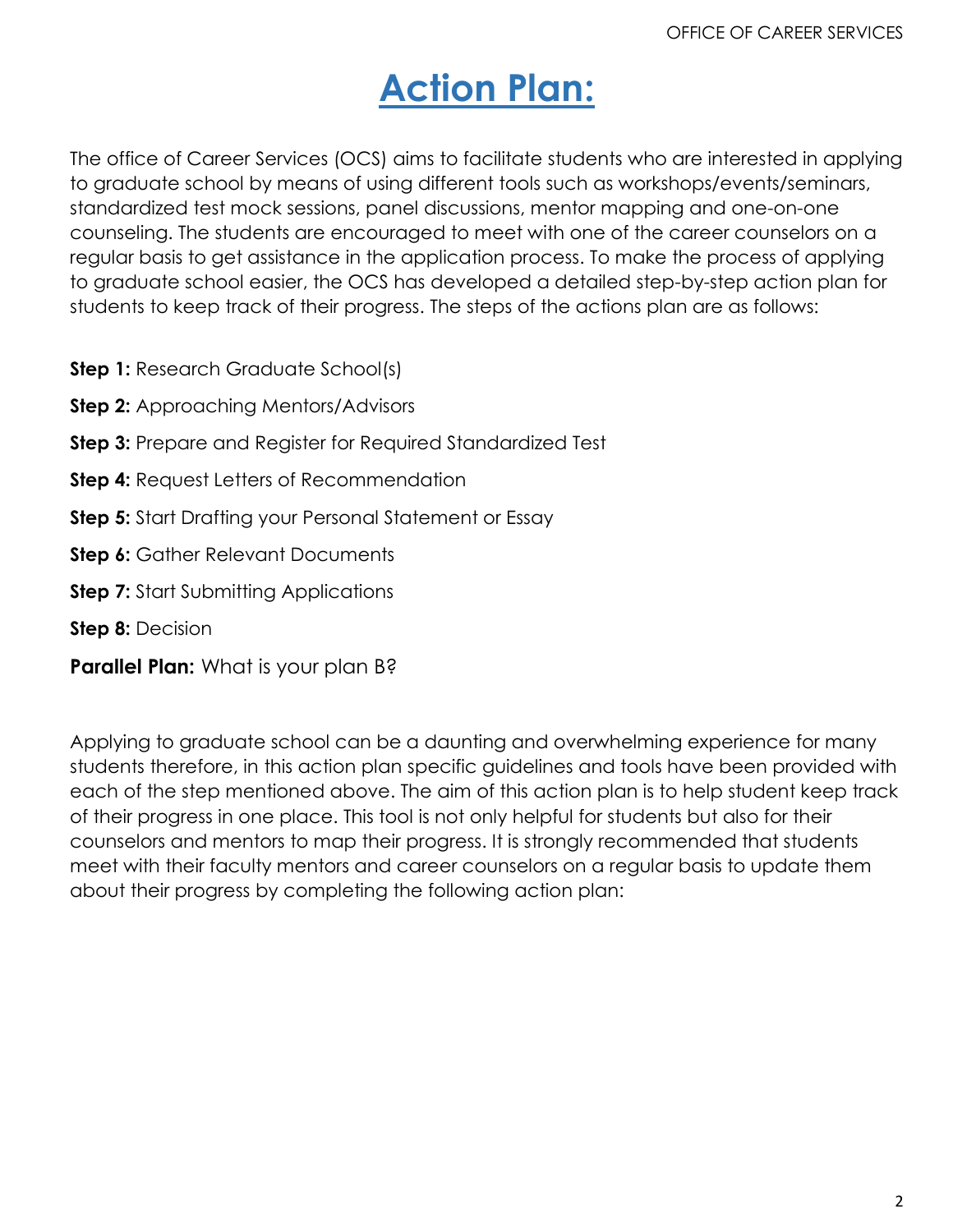# **Action Plan:**

The office of Career Services (OCS) aims to facilitate students who are interested in applying to graduate school by means of using different tools such as workshops/events/seminars, standardized test mock sessions, panel discussions, mentor mapping and one-on-one counseling. The students are encouraged to meet with one of the career counselors on a regular basis to get assistance in the application process. To make the process of applying to graduate school easier, the OCS has developed a detailed step-by-step action plan for students to keep track of their progress. The steps of the actions plan are as follows:

- **Step 1:** Research Graduate School(s)
- **Step 2:** Approaching Mentors/Advisors
- **Step 3:** Prepare and Register for Required Standardized Test
- **Step 4:** Request Letters of Recommendation
- **Step 5:** Start Drafting your Personal Statement or Essay
- **Step 6:** Gather Relevant Documents
- **Step 7:** Start Submitting Applications

**Step 8:** Decision

**Parallel Plan:** What is your plan B?

Applying to graduate school can be a daunting and overwhelming experience for many students therefore, in this action plan specific guidelines and tools have been provided with each of the step mentioned above. The aim of this action plan is to help student keep track of their progress in one place. This tool is not only helpful for students but also for their counselors and mentors to map their progress. It is strongly recommended that students meet with their faculty mentors and career counselors on a regular basis to update them about their progress by completing the following action plan: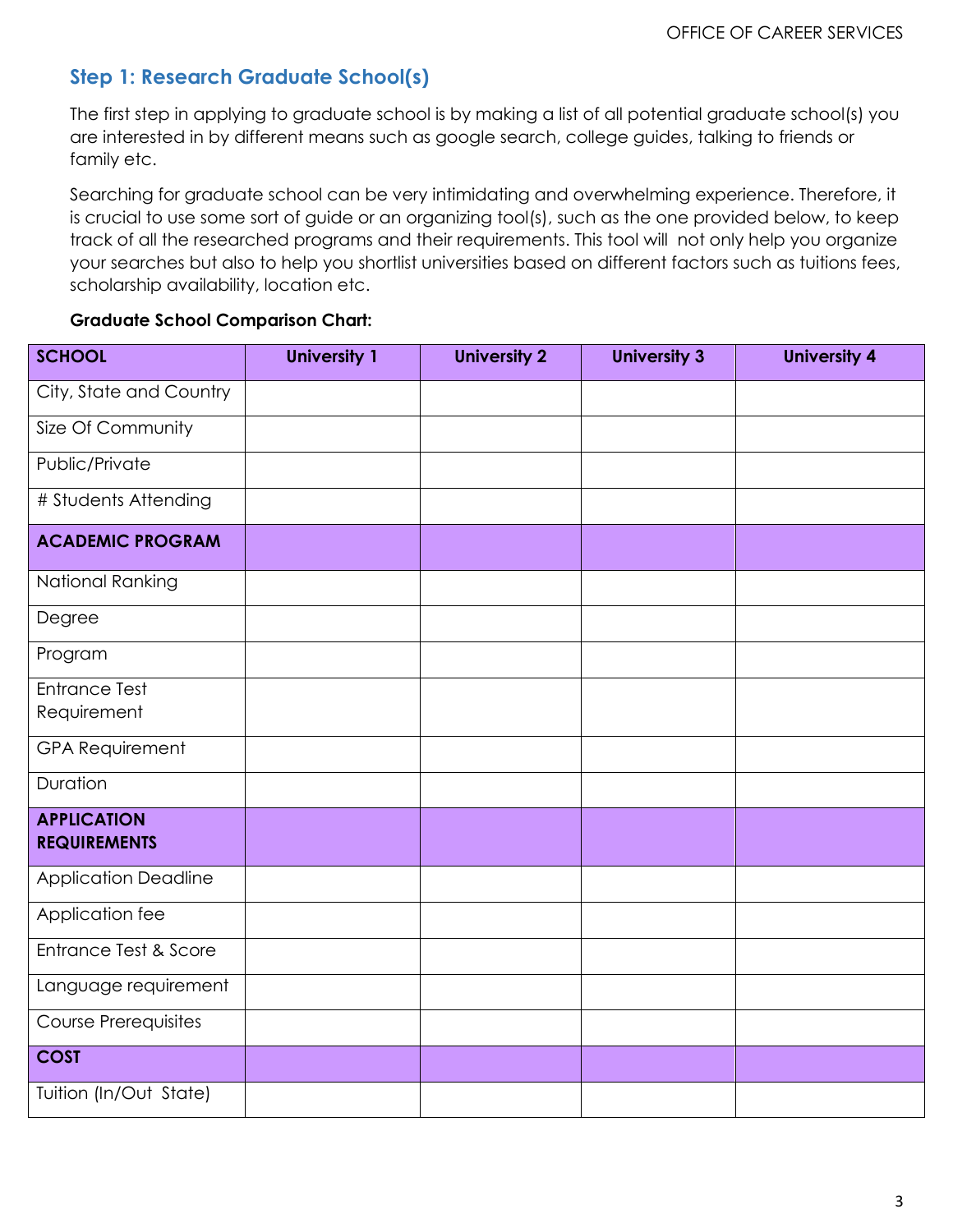# **Step 1: Research Graduate School(s)**

The first step in applying to graduate school is by making a list of all potential graduate school(s) you are interested in by different means such as google search, college guides, talking to friends or family etc.

Searching for graduate school can be very intimidating and overwhelming experience. Therefore, it is crucial to use some sort of guide or an organizing tool(s), such as the one provided below, to keep track of all the researched programs and their requirements. This tool will not only help you organize your searches but also to help you shortlist universities based on different factors such as tuitions fees, scholarship availability, location etc.

#### **Graduate School Comparison Chart:**

| <b>SCHOOL</b>                             | <b>University 1</b> | <b>University 2</b> | <b>University 3</b> | <b>University 4</b> |
|-------------------------------------------|---------------------|---------------------|---------------------|---------------------|
| City, State and Country                   |                     |                     |                     |                     |
| Size Of Community                         |                     |                     |                     |                     |
| Public/Private                            |                     |                     |                     |                     |
| # Students Attending                      |                     |                     |                     |                     |
| <b>ACADEMIC PROGRAM</b>                   |                     |                     |                     |                     |
| National Ranking                          |                     |                     |                     |                     |
| Degree                                    |                     |                     |                     |                     |
| Program                                   |                     |                     |                     |                     |
| <b>Entrance Test</b><br>Requirement       |                     |                     |                     |                     |
| <b>GPA Requirement</b>                    |                     |                     |                     |                     |
| Duration                                  |                     |                     |                     |                     |
| <b>APPLICATION</b><br><b>REQUIREMENTS</b> |                     |                     |                     |                     |
| <b>Application Deadline</b>               |                     |                     |                     |                     |
| Application fee                           |                     |                     |                     |                     |
| Entrance Test & Score                     |                     |                     |                     |                     |
| Language requirement                      |                     |                     |                     |                     |
| <b>Course Prerequisites</b>               |                     |                     |                     |                     |
| <b>COST</b>                               |                     |                     |                     |                     |
| Tuition (In/Out State)                    |                     |                     |                     |                     |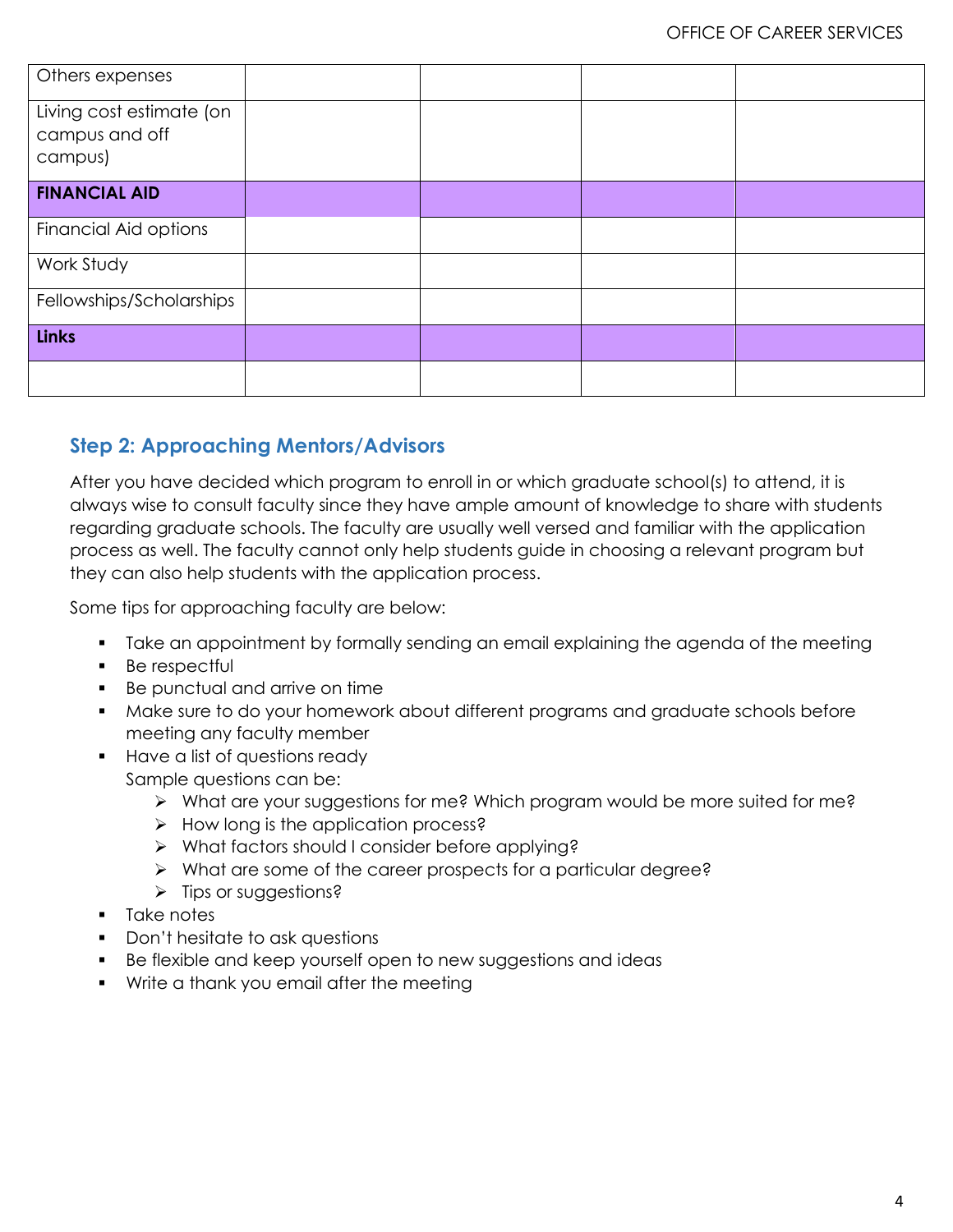| Others expenses                                       |  |  |
|-------------------------------------------------------|--|--|
| Living cost estimate (on<br>campus and off<br>campus) |  |  |
| <b>FINANCIAL AID</b>                                  |  |  |
| Financial Aid options                                 |  |  |
| Work Study                                            |  |  |
| Fellowships/Scholarships                              |  |  |
| <b>Links</b>                                          |  |  |
|                                                       |  |  |

# **Step 2: Approaching Mentors/Advisors**

After you have decided which program to enroll in or which graduate school(s) to attend, it is always wise to consult faculty since they have ample amount of knowledge to share with students regarding graduate schools. The faculty are usually well versed and familiar with the application process as well. The faculty cannot only help students guide in choosing a relevant program but they can also help students with the application process.

Some tips for approaching faculty are below:

- Take an appointment by formally sending an email explaining the agenda of the meeting
- **Be respectful**
- Be punctual and arrive on time
- **Make sure to do your homework about different programs and graduate schools before** meeting any faculty member
- **Have a list of questions ready** Sample questions can be:
	- What are your suggestions for me? Which program would be more suited for me?
	- $\triangleright$  How long is the application process?
	- What factors should I consider before applying?
	- What are some of the career prospects for a particular degree?
	- $\triangleright$  Tips or suggestions?
- **Take notes**
- **Don't hesitate to ask questions**
- Be flexible and keep yourself open to new suggestions and ideas
- **Write a thank you email after the meeting**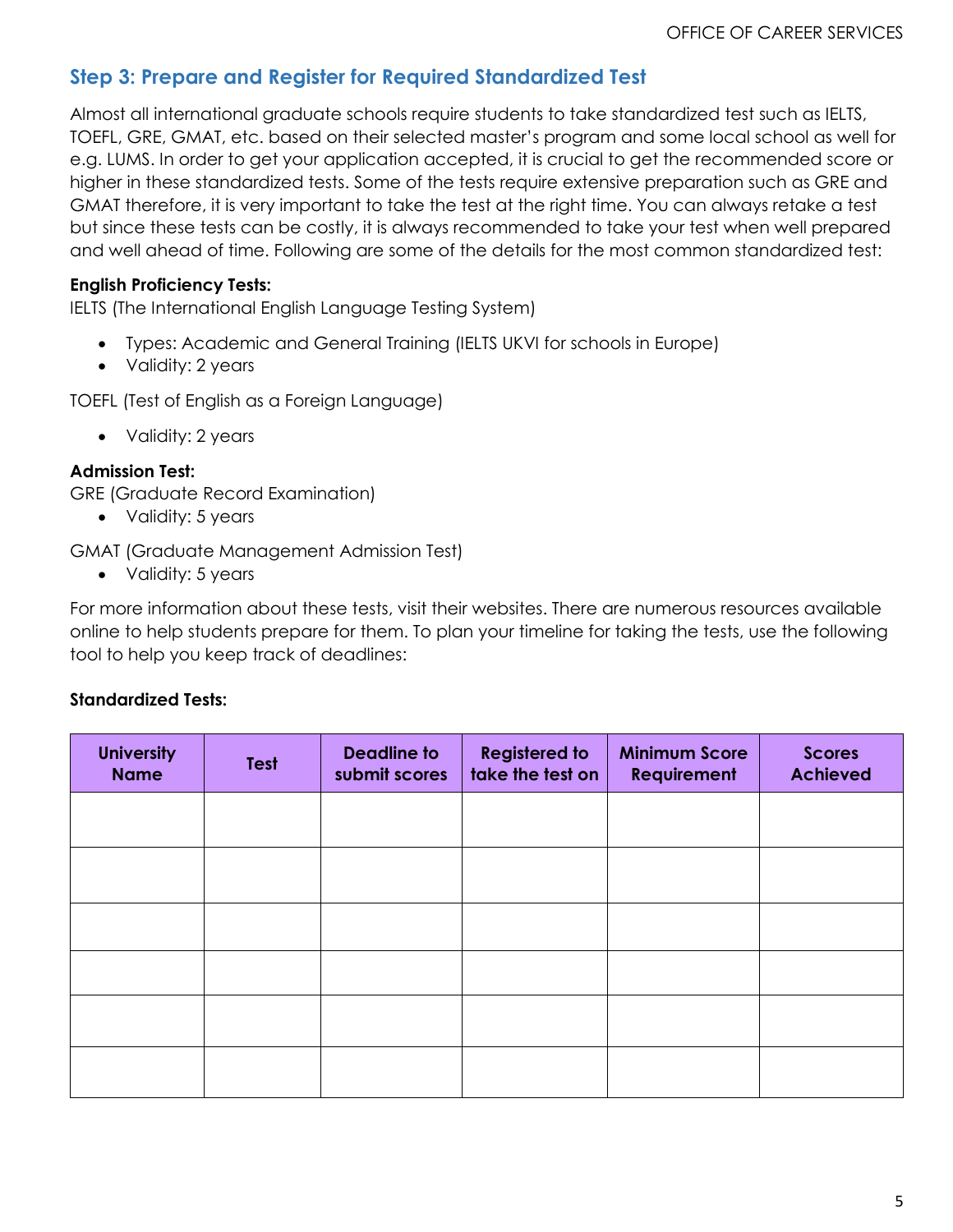# **Step 3: Prepare and Register for Required Standardized Test**

Almost all international graduate schools require students to take standardized test such as IELTS, TOEFL, GRE, GMAT, etc. based on their selected master's program and some local school as well for e.g. LUMS. In order to get your application accepted, it is crucial to get the recommended score or higher in these standardized tests. Some of the tests require extensive preparation such as GRE and GMAT therefore, it is very important to take the test at the right time. You can always retake a test but since these tests can be costly, it is always recommended to take your test when well prepared and well ahead of time. Following are some of the details for the most common standardized test:

#### **English Proficiency Tests:**

IELTS (The International English Language Testing System)

- Types: Academic and General Training (IELTS UKVI for schools in Europe)
- Validity: 2 years

TOEFL (Test of English as a Foreign Language)

• Validity: 2 years

#### **Admission Test:**

GRE (Graduate Record Examination)

• Validity: 5 years

GMAT (Graduate Management Admission Test)

• Validity: 5 years

For more information about these tests, visit their websites. There are numerous resources available online to help students prepare for them. To plan your timeline for taking the tests, use the following tool to help you keep track of deadlines:

#### **Standardized Tests:**

| <b>University</b><br><b>Name</b> | <b>Test</b> | <b>Deadline to</b><br>submit scores | <b>Registered to</b><br>take the test on | <b>Minimum Score</b><br><b>Requirement</b> | <b>Scores</b><br><b>Achieved</b> |
|----------------------------------|-------------|-------------------------------------|------------------------------------------|--------------------------------------------|----------------------------------|
|                                  |             |                                     |                                          |                                            |                                  |
|                                  |             |                                     |                                          |                                            |                                  |
|                                  |             |                                     |                                          |                                            |                                  |
|                                  |             |                                     |                                          |                                            |                                  |
|                                  |             |                                     |                                          |                                            |                                  |
|                                  |             |                                     |                                          |                                            |                                  |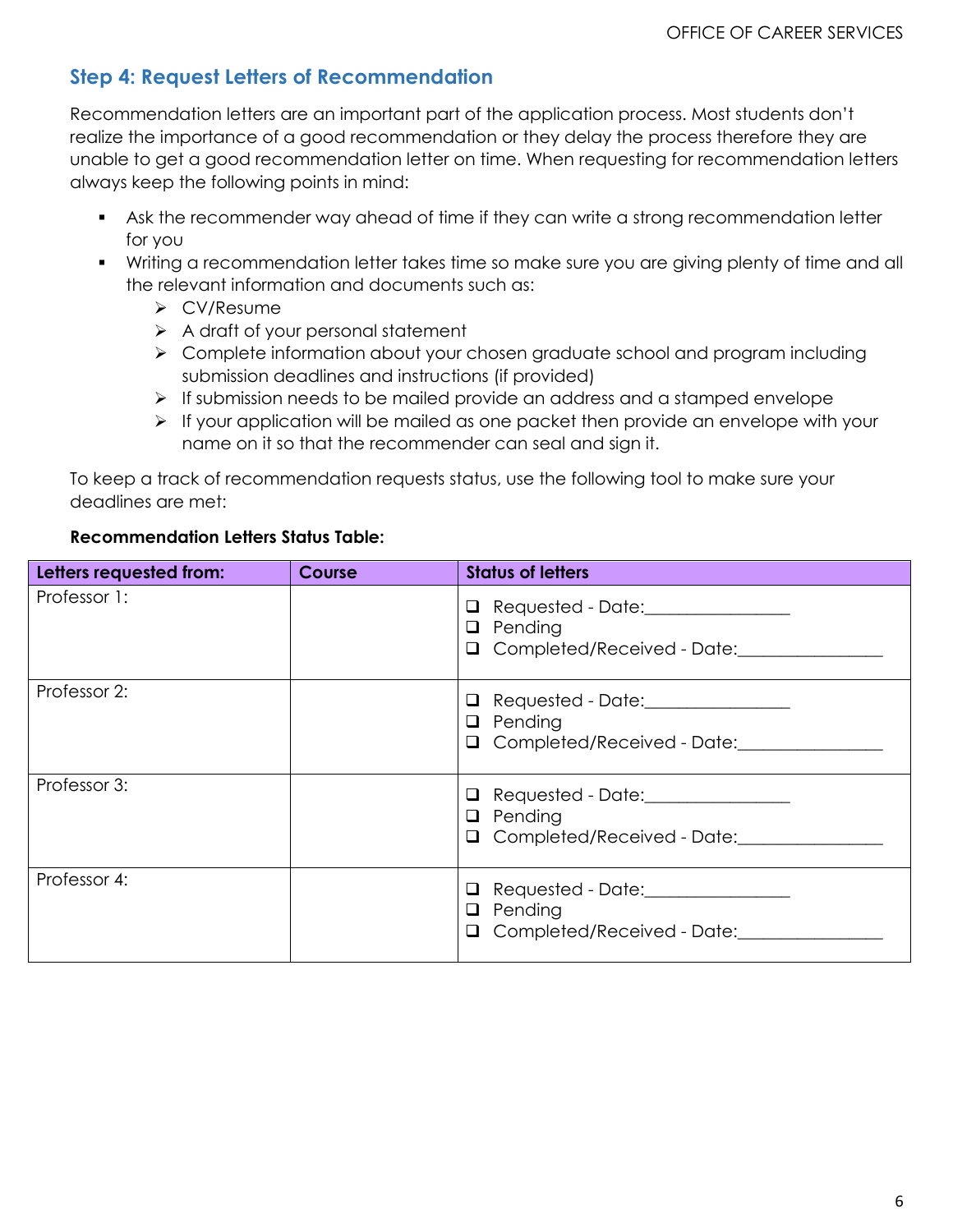# **Step 4: Request Letters of Recommendation**

Recommendation letters are an important part of the application process. Most students don't realize the importance of a good recommendation or they delay the process therefore they are unable to get a good recommendation letter on time. When requesting for recommendation letters always keep the following points in mind:

- Ask the recommender way ahead of time if they can write a strong recommendation letter for you
- Writing a recommendation letter takes time so make sure you are giving plenty of time and all the relevant information and documents such as:
	- CV/Resume
	- $\triangleright$  A draft of your personal statement
	- ▶ Complete information about your chosen graduate school and program including submission deadlines and instructions (if provided)
	- $\triangleright$  If submission needs to be mailed provide an address and a stamped envelope
	- $\triangleright$  If your application will be mailed as one packet then provide an envelope with your name on it so that the recommender can seal and sign it.

To keep a track of recommendation requests status, use the following tool to make sure your deadlines are met:

## **Recommendation Letters Status Table:**

| Letters requested from: | <b>Course</b> | <b>Status of letters</b>                                                                                          |
|-------------------------|---------------|-------------------------------------------------------------------------------------------------------------------|
| Professor 1:            |               | □ Requested - Date:________________<br>$\Box$ Pending<br>Q Completed/Received - Date:                             |
| Professor 2:            |               | <b>Q</b> Requested - Date:________________<br>$\Box$ Pending<br>□ Completed/Received - Date: <u>■ ■ Completed</u> |
| Professor 3:            |               | <b>Q</b> Requested - Date:________________<br>$\Box$ Pending<br>O Completed/Received - Date:                      |
| Professor 4:            |               | <b>Q</b> Requested - Date:_______________<br>$\Box$ Pending<br>Q Completed/Received - Date:                       |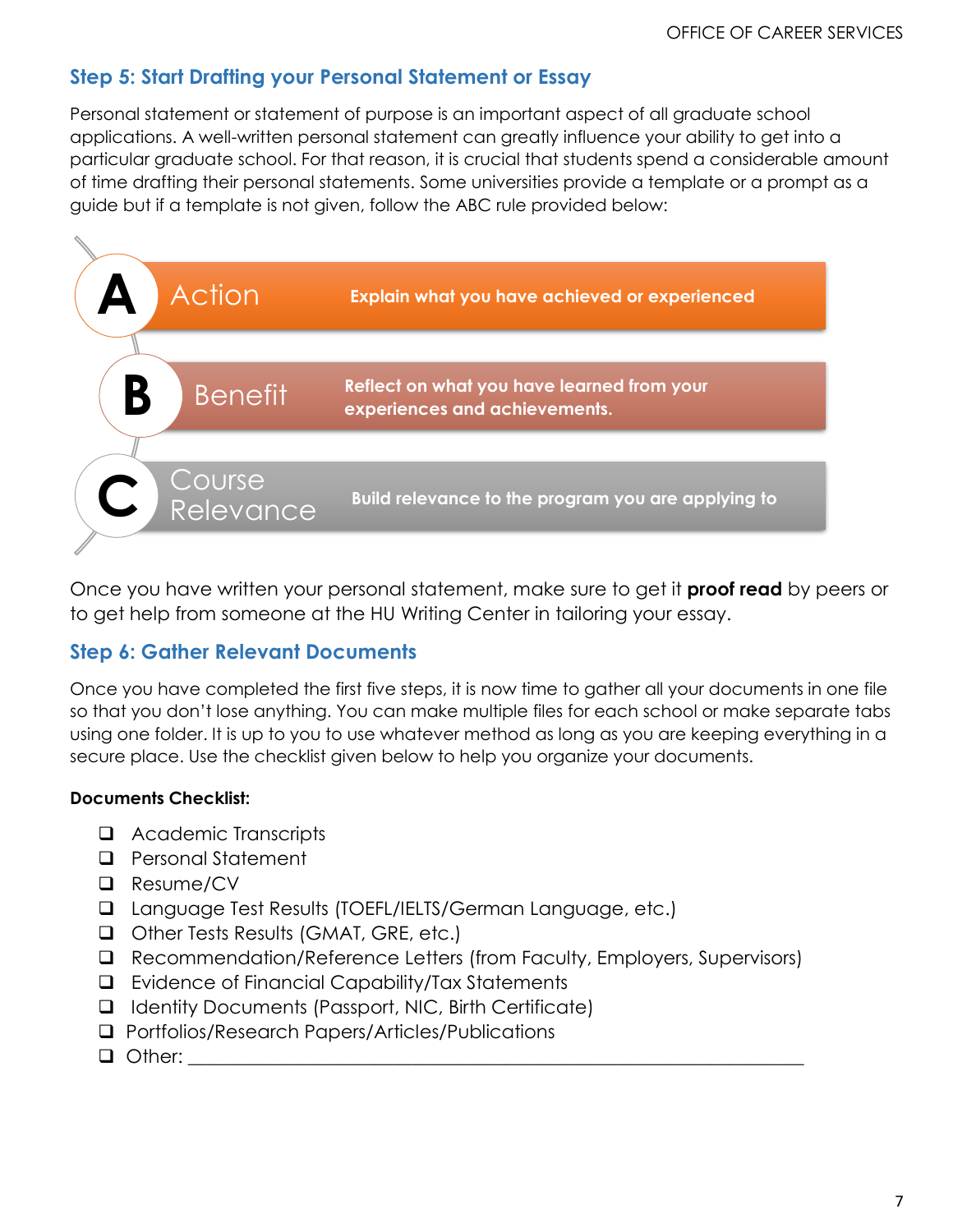# **Step 5: Start Drafting your Personal Statement or Essay**

Personal statement or statement of purpose is an important aspect of all graduate school applications. A well-written personal statement can greatly influence your ability to get into a particular graduate school. For that reason, it is crucial that students spend a considerable amount of time drafting their personal statements. Some universities provide a template or a prompt as a guide but if a template is not given, follow the ABC rule provided below:



Once you have written your personal statement, make sure to get it **proof read** by peers or to get help from someone at the HU Writing Center in tailoring your essay.

# **Step 6: Gather Relevant Documents**

Once you have completed the first five steps, it is now time to gather all your documents in one file so that you don't lose anything. You can make multiple files for each school or make separate tabs using one folder. It is up to you to use whatever method as long as you are keeping everything in a secure place. Use the checklist given below to help you organize your documents.

#### **Documents Checklist:**

- Academic Transcripts
- **Q** Personal Statement
- □ Resume/CV
- Language Test Results (TOEFL/IELTS/German Language, etc.)
- □ Other Tests Results (GMAT, GRE, etc.)
- Recommendation/Reference Letters (from Faculty, Employers, Supervisors)
- Evidence of Financial Capability/Tax Statements
- $\Box$  Identity Documents (Passport, NIC, Birth Certificate)
- □ Portfolios/Research Papers/Articles/Publications
- Other: \_\_\_\_\_\_\_\_\_\_\_\_\_\_\_\_\_\_\_\_\_\_\_\_\_\_\_\_\_\_\_\_\_\_\_\_\_\_\_\_\_\_\_\_\_\_\_\_\_\_\_\_\_\_\_\_\_\_\_\_\_\_\_\_\_\_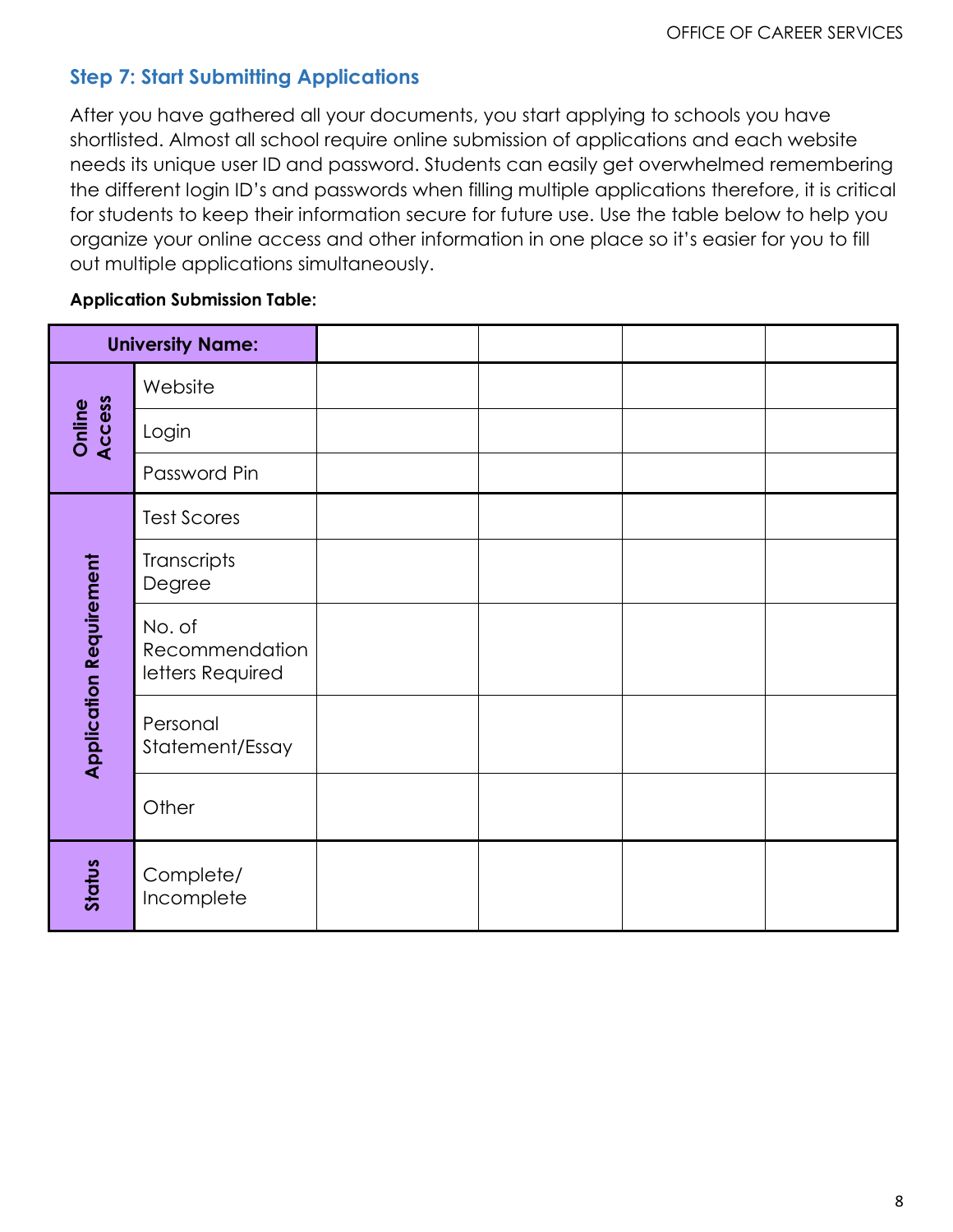# **Step 7: Start Submitting Applications**

After you have gathered all your documents, you start applying to schools you have shortlisted. Almost all school require online submission of applications and each website needs its unique user ID and password. Students can easily get overwhelmed remembering the different login ID's and passwords when filling multiple applications therefore, it is critical for students to keep their information secure for future use. Use the table below to help you organize your online access and other information in one place so it's easier for you to fill out multiple applications simultaneously.

#### **Application Submission Table:**

|                                | <b>University Name:</b>                      |  |  |
|--------------------------------|----------------------------------------------|--|--|
| Access<br>Online               | Website                                      |  |  |
|                                | Login                                        |  |  |
|                                | Password Pin                                 |  |  |
|                                | <b>Test Scores</b>                           |  |  |
|                                | Transcripts<br>Degree                        |  |  |
| <b>Application Requirement</b> | No. of<br>Recommendation<br>letters Required |  |  |
|                                | Personal<br>Statement/Essay                  |  |  |
|                                | Other                                        |  |  |
| Status                         | Complete/<br>Incomplete                      |  |  |